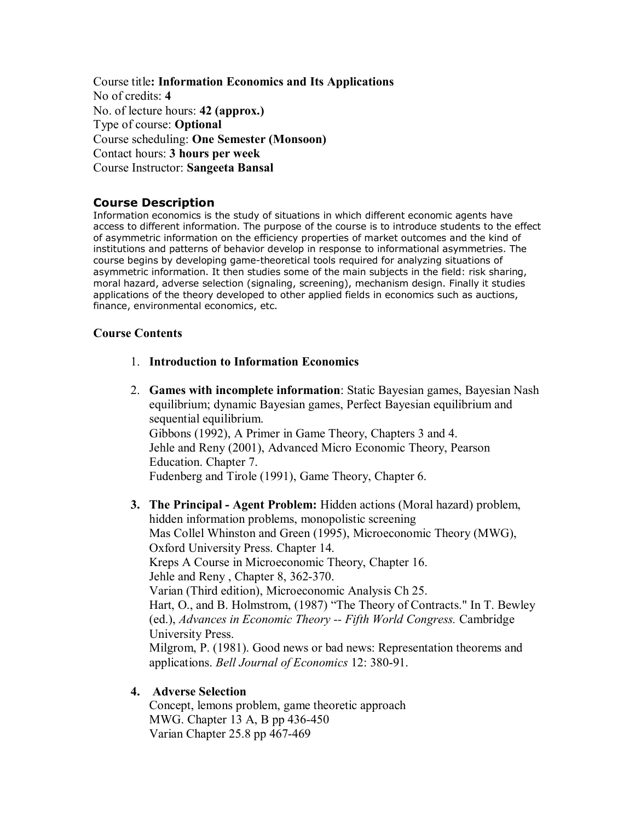Course title**: Information Economics and Its Applications** No of credits: **4** No. of lecture hours: **42 (approx.)** Type of course: **Optional** Course scheduling: **One Semester (Monsoon)** Contact hours: **3 hours per week** Course Instructor: **Sangeeta Bansal** 

### **Course Description**

Information economics is the study of situations in which different economic agents have access to different information. The purpose of the course is to introduce students to the effect of asymmetric information on the efficiency properties of market outcomes and the kind of institutions and patterns of behavior develop in response to informational asymmetries. The course begins by developing game-theoretical tools required for analyzing situations of asymmetric information. It then studies some of the main subjects in the field: risk sharing, moral hazard, adverse selection (signaling, screening), mechanism design. Finally it studies applications of the theory developed to other applied fields in economics such as auctions, finance, environmental economics, etc.

### **Course Contents**

- 1. **Introduction to Information Economics**
- 2. **Games with incomplete information**: Static Bayesian games, Bayesian Nash equilibrium; dynamic Bayesian games, Perfect Bayesian equilibrium and sequential equilibrium. Gibbons (1992), A Primer in Game Theory, Chapters 3 and 4. Jehle and Reny (2001), Advanced Micro Economic Theory, Pearson Education. Chapter 7. Fudenberg and Tirole (1991), Game Theory, Chapter 6.
- **3. The Principal Agent Problem:** Hidden actions (Moral hazard) problem, hidden information problems, monopolistic screening Mas Collel Whinston and Green (1995), Microeconomic Theory (MWG), Oxford University Press. Chapter 14. Kreps A Course in Microeconomic Theory, Chapter 16. Jehle and Reny, Chapter 8, 362-370. Varian (Third edition), Microeconomic Analysis Ch 25. Hart, O., and B. Holmstrom, (1987) "The Theory of Contracts." In T. Bewley (ed.), *Advances in Economic Theory Fifth World Congress.* Cambridge University Press. Milgrom, P. (1981). Good news or bad news: Representation theorems and applications. *Bell Journal of Economics* 12: 380-91.

## **4. Adverse Selection**

Concept, lemons problem, game theoretic approach MWG. Chapter 13 A, B pp 436-450 Varian Chapter 25.8 pp 467-469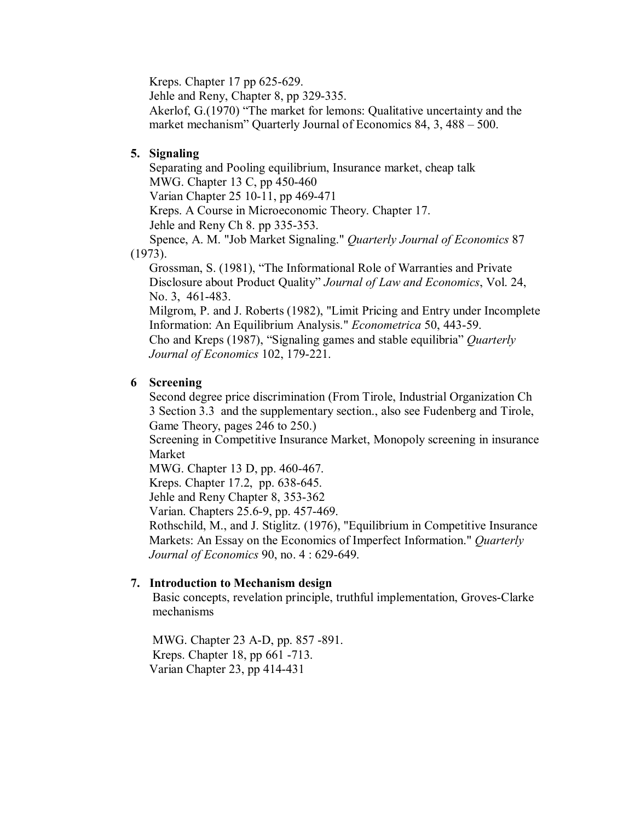Kreps. Chapter  $17$  pp  $625-629$ .

Jehle and Reny, Chapter 8, pp 329-335.

Akerlof, G.(1970) "The market for lemons: Qualitative uncertainty and the market mechanism" Quarterly Journal of Economics 84, 3, 488 – 500.

# **5. Signaling**

Separating and Pooling equilibrium, Insurance market, cheap talk MWG. Chapter 13 C, pp 450-460 Varian Chapter 25 10-11, pp 469-471 Kreps. A Course in Microeconomic Theory. Chapter 17. Jehle and Reny Ch 8. pp 335-353. Spence, A. M. "Job Market Signaling." *Quarterly Journal of Economics* 87 (1973). Grossman, S. (1981), "The Informational Role of Warranties and Private Disclosure about Product Quality" *Journal of Law and Economics*, Vol. 24, No. 3, 461-483. Milgrom, P. and J. Roberts (1982), "Limit Pricing and Entry under Incomplete Information: An Equilibrium Analysis." *Econometrica* 50, 443-59.

Cho and Kreps (1987), "Signaling games and stable equilibria" *Quarterly Journal of Economics* 102, 179-221.

# **6 Screening**

Second degree price discrimination (From Tirole, Industrial Organization Ch 3 Section 3.3 and the supplementary section., also see Fudenberg and Tirole, Game Theory, pages 246 to 250.)

Screening in Competitive Insurance Market, Monopoly screening in insurance Market

MWG. Chapter 13 D, pp. 460-467.

Kreps. Chapter 17.2, pp. 638-645.

Jehle and Reny Chapter 8, 353-362

Varian. Chapters 25.6-9, pp. 457-469.

Rothschild, M., and J. Stiglitz. (1976), "Equilibrium in Competitive Insurance Markets: An Essay on the Economics of Imperfect Information." *Quarterly Journal of Economics* 90, no. 4 : 629-649.

## **7. Introduction to Mechanism design**

Basic concepts, revelation principle, truthful implementation, Groves-Clarke mechanisms

MWG. Chapter 23 A-D, pp. 857 -891. Kreps. Chapter 18, pp 661 -713. Varian Chapter 23, pp 414-431